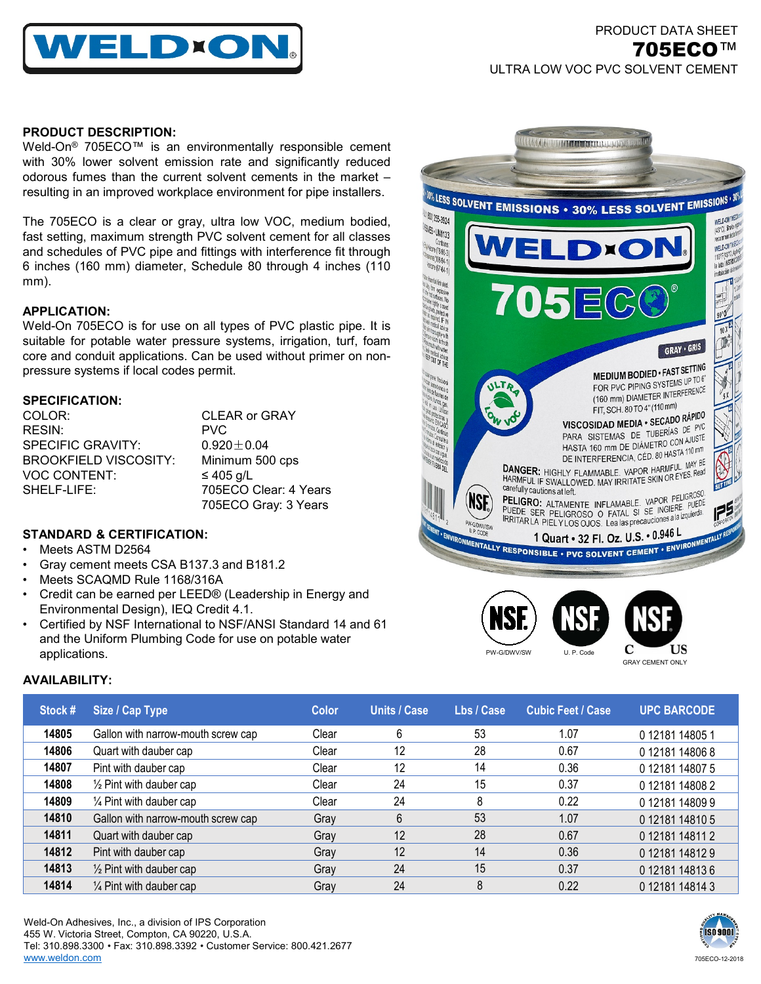

# PRODUCT DATA SHEET 705ECO™ ULTRA LOW VOC PVC SOLVENT CEMENT

### **PRODUCT DESCRIPTION:**

Weld-On<sup>®</sup> 705ECO™ is an environmentally responsible cement with 30% lower solvent emission rate and significantly reduced odorous fumes than the current solvent cements in the market – resulting in an improved workplace environment for pipe installers.

The 705ECO is a clear or gray, ultra low VOC, medium bodied, fast setting, maximum strength PVC solvent cement for all classes and schedules of PVC pipe and fittings with interference fit through 6 inches (160 mm) diameter, Schedule 80 through 4 inches (110 mm).

## **APPLICATION:**

Weld-On 705ECO is for use on all types of PVC plastic pipe. It is suitable for potable water pressure systems, irrigation, turf, foam core and conduit applications. Can be used without primer on nonpressure systems if local codes permit.

## **SPECIFICATION:**

| COLOR:                       | <b>CLEAR or GRAY</b>  |
|------------------------------|-----------------------|
| RESIN:                       | <b>PVC</b>            |
| <b>SPECIFIC GRAVITY:</b>     | $0.920 + 0.04$        |
| <b>BROOKFIELD VISCOSITY:</b> | Minimum 500 cps       |
| <b>VOC CONTENT:</b>          | $\leq 405$ g/L        |
| SHELF-LIFE:                  | 705ECO Clear: 4 Years |
|                              | 705ECO Gray: 3 Years  |

# **STANDARD & CERTIFICATION:**

- Meets ASTM D2564
- Gray cement meets CSA B137.3 and B181.2
- Meets SCAQMD Rule 1168/316A
- Credit can be earned per LEED® (Leadership in Energy and Environmental Design), IEQ Credit 4.1.
- Certified by NSF International to NSF/ANSI Standard 14 and 61 and the Uniform Plumbing Code for use on potable water applications.



U. P. Cod

GRAY CEMENT ONLY

C

US

PW-G/DWV/SW

**AVAILABILITY:**

| Stock # | Size / Cap Type                    | <b>Color</b> | <b>Units / Case</b> | Lbs / Case | <b>Cubic Feet / Case</b> | <b>UPC BARCODE</b> |
|---------|------------------------------------|--------------|---------------------|------------|--------------------------|--------------------|
| 14805   | Gallon with narrow-mouth screw cap | Clear        | 6                   | 53         | 1.07                     | 0 12181 14805 1    |
| 14806   | Quart with dauber cap              | Clear        | 12                  | 28         | 0.67                     | 0 12181 14806 8    |
| 14807   | Pint with dauber cap               | Clear        | 12                  | 14         | 0.36                     | 0 12181 14807 5    |
| 14808   | 1/2 Pint with dauber cap           | Clear        | 24                  | 15         | 0.37                     | 012181148082       |
| 14809   | 1/4 Pint with dauber cap           | Clear        | 24                  | 8          | 0.22                     | 012181148099       |
| 14810   | Gallon with narrow-mouth screw cap | Gray         | 6                   | 53         | 1.07                     | 012181148105       |
| 14811   | Quart with dauber cap              | Gray         | 12                  | 28         | 0.67                     | 0 12181 14811 2    |
| 14812   | Pint with dauber cap               | Gray         | 12                  | 14         | 0.36                     | 012181148129       |
| 14813   | $\frac{1}{2}$ Pint with dauber cap | Gray         | 24                  | 15         | 0.37                     | 012181148136       |
| 14814   | $\frac{1}{4}$ Pint with dauber cap | Gray         | 24                  | 8          | 0.22                     | 0 12181 14814 3    |